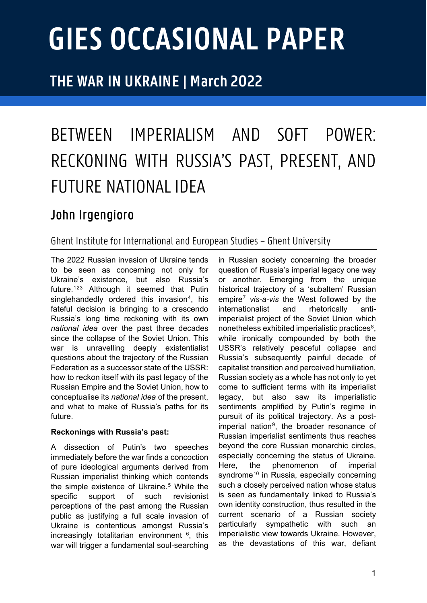# **GIES OCCASIONAL PAPER**

## **THE WAR IN UKRAINE | March 2022**

# BETWEEN IMPERIALISM AND SOFT POWER: RECKONING WITH RUSSIA'S PAST, PRESENT, AND FUTURE NATIONAL IDEA

### John Irgengioro

#### Ghent Institute for Internationaland European Studies – Ghent University

The 2022 Russian invasion of Ukraine tends to be seen as concerning not only for Ukraine's existence, but also Russia's future.[1](#page-2-0)[2](#page-2-1)[3](#page-2-2) Although it seemed that Putin singlehandedly ordered this invasion<sup>[4](#page-2-3)</sup>, his fateful decision is bringing to a crescendo Russia's long time reckoning with its own *national idea* over the past three decades since the collapse of the Soviet Union. This war is unravelling deeply existentialist questions about the trajectory of the Russian Federation as a successor state of the USSR: how to reckon itself with its past legacy of the Russian Empire and the Soviet Union, how to conceptualise its *national idea* of the present, and what to make of Russia's paths for its future.

#### **Reckonings with Russia's past:**

A dissection of Putin's two speeches immediately before the war finds a concoction of pure ideological arguments derived from Russian imperialist thinking which contends the simple existence of Ukraine.<sup>[5](#page-2-4)</sup> While the specific support of such revisionist perceptions of the past among the Russian public as justifying a full scale invasion of Ukraine is contentious amongst Russia's increasingly totalitarian environment  $6$ , this war will trigger a fundamental soul-searching in Russian society concerning the broader question of Russia's imperial legacy one way or another. Emerging from the unique historical trajectory of a 'subaltern' Russian empire[7](#page-2-6) *vis-a-vis* the West followed by the internationalist and rhetorically antiimperialist project of the Soviet Union which nonetheless exhibited imperialistic practices<sup>[8](#page-2-7)</sup>, while ironically compounded by both the USSR's relatively peaceful collapse and Russia's subsequently painful decade of capitalist transition and perceived humiliation, Russian society as a whole has not only to yet come to sufficient terms with its imperialist legacy, but also saw its imperialistic sentiments amplified by Putin's regime in pursuit of its political trajectory. As a postimperial nation<sup>9</sup>, the broader resonance of Russian imperialist sentiments thus reaches beyond the core Russian monarchic circles, especially concerning the status of Ukraine. Here, the phenomenon of imperial syndrome<sup>[10](#page-2-9)</sup> in Russia, especially concerning such a closely perceived nation whose status is seen as fundamentally linked to Russia's own identity construction, thus resulted in the current scenario of a Russian society particularly sympathetic with such an imperialistic view towards Ukraine. However, as the devastations of this war, defiant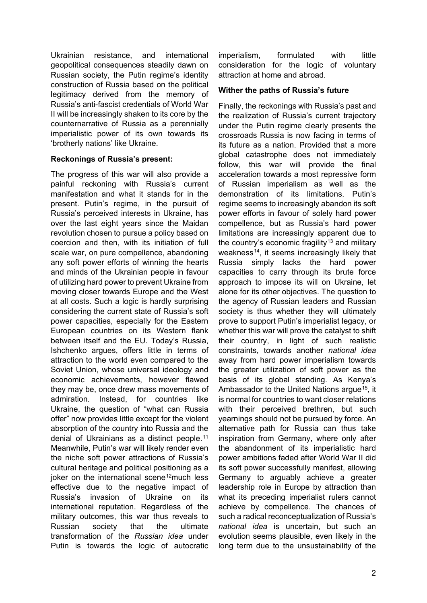Ukrainian resistance, and international geopolitical consequences steadily dawn on Russian society, the Putin regime's identity construction of Russia based on the political legitimacy derived from the memory of Russia's anti-fascist credentials of World War II will be increasingly shaken to its core by the counternarrative of Russia as a perennially imperialistic power of its own towards its 'brotherly nations' like Ukraine.

#### **Reckonings of Russia's present:**

The progress of this war will also provide a painful reckoning with Russia's current manifestation and what it stands for in the present. Putin's regime, in the pursuit of Russia's perceived interests in Ukraine, has over the last eight years since the Maidan revolution chosen to pursue a policy based on coercion and then, with its initiation of full scale war, on pure compellence, abandoning any soft power efforts of winning the hearts and minds of the Ukrainian people in favour of utilizing hard power to prevent Ukraine from moving closer towards Europe and the West at all costs. Such a logic is hardly surprising considering the current state of Russia's soft power capacities, especially for the Eastern European countries on its Western flank between itself and the EU. Today's Russia, Ishchenko argues, offers little in terms of attraction to the world even compared to the Soviet Union, whose universal ideology and economic achievements, however flawed they may be, once drew mass movements of admiration. Instead, for countries like Ukraine, the question of "what can Russia offer" now provides little except for the violent absorption of the country into Russia and the denial of Ukrainians as a distinct people.[11](#page-2-10) Meanwhile, Putin's war will likely render even the niche soft power attractions of Russia's cultural heritage and political positioning as a ioker on the international scene<sup>[12](#page-2-11)</sup>much less effective due to the negative impact of Russia's invasion of Ukraine on its international reputation. Regardless of the military outcomes, this war thus reveals to Russian society that the ultimate transformation of the *Russian idea* under Putin is towards the logic of autocratic

imperialism, formulated with little consideration for the logic of voluntary attraction at home and abroad.

#### **Wither the paths of Russia's future**

Finally, the reckonings with Russia's past and the realization of Russia's current trajectory under the Putin regime clearly presents the crossroads Russia is now facing in terms of its future as a nation. Provided that a more global catastrophe does not immediately follow, this war will provide the final acceleration towards a most repressive form of Russian imperialism as well as the demonstration of its limitations. Putin's regime seems to increasingly abandon its soft power efforts in favour of solely hard power compellence, but as Russia's hard power limitations are increasingly apparent due to the country's economic fragility<sup>[13](#page-2-12)</sup> and military weakness<sup>14</sup>, it seems increasingly likely that Russia simply lacks the hard power capacities to carry through its brute force approach to impose its will on Ukraine, let alone for its other objectives. The question to the agency of Russian leaders and Russian society is thus whether they will ultimately prove to support Putin's imperialist legacy, or whether this war will prove the catalyst to shift their country, in light of such realistic constraints, towards another *national idea* away from hard power imperialism towards the greater utilization of soft power as the basis of its global standing. As Kenya's Ambassador to the United Nations arque<sup>15</sup>, it is normal for countries to want closer relations with their perceived brethren, but such yearnings should not be pursued by force. An alternative path for Russia can thus take inspiration from Germany, where only after the abandonment of its imperialistic hard power ambitions faded after World War II did its soft power successfully manifest, allowing Germany to arguably achieve a greater leadership role in Europe by attraction than what its preceding imperialist rulers cannot achieve by compellence. The chances of such a radical reconceptualization of Russia's *national idea* is uncertain, but such an evolution seems plausible, even likely in the long term due to the unsustainability of the